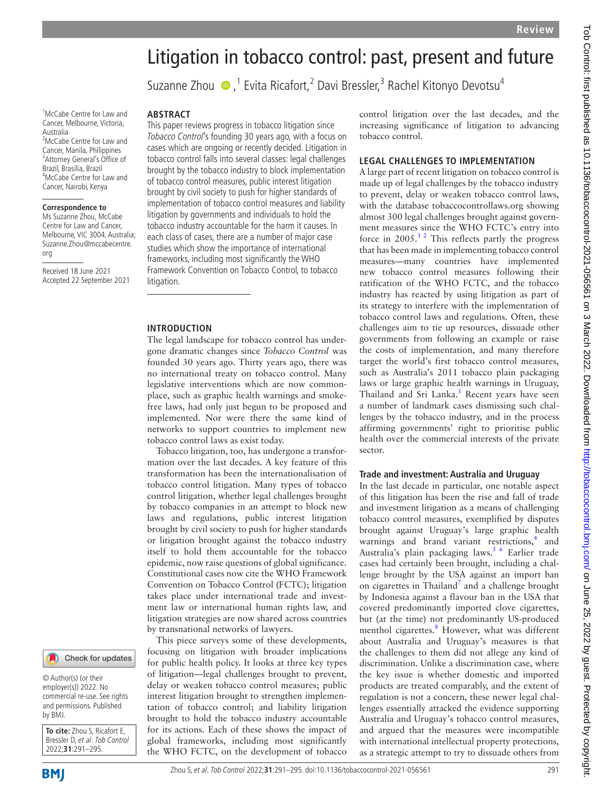# Litigation in tobacco control: past, present and future

SuzanneZhou  $\bigcirc$ ,<sup>1</sup> Evita Ricafort,<sup>2</sup> Davi Bressler,<sup>3</sup> Rachel Kitonyo Devotsu<sup>4</sup>

# **ABSTRACT**

This paper reviews progress in tobacco litigation since Tobacco Control's founding 30 years ago, with a focus on cases which are ongoing or recently decided. Litigation in tobacco control falls into several classes: legal challenges brought by the tobacco industry to block implementation of tobacco control measures, public interest litigation brought by civil society to push for higher standards of implementation of tobacco control measures and liability litigation by governments and individuals to hold the tobacco industry accountable for the harm it causes. In each class of cases, there are a number of major case studies which show the importance of international frameworks, including most significantly the WHO Framework Convention on Tobacco Control, to tobacco litigation.

## **INTRODUCTION**

The legal landscape for tobacco control has undergone dramatic changes since *Tobacco Control* was founded 30 years ago. Thirty years ago, there was no international treaty on tobacco control. Many legislative interventions which are now commonplace, such as graphic health warnings and smokefree laws, had only just begun to be proposed and implemented. Nor were there the same kind of networks to support countries to implement new tobacco control laws as exist today.

Tobacco litigation, too, has undergone a transformation over the last decades. A key feature of this transformation has been the internationalisation of tobacco control litigation. Many types of tobacco control litigation, whether legal challenges brought by tobacco companies in an attempt to block new laws and regulations, public interest litigation brought by civil society to push for higher standards or litigation brought against the tobacco industry itself to hold them accountable for the tobacco epidemic, now raise questions of global significance. Constitutional cases now cite the WHO Framework Convention on Tobacco Control (FCTC); litigation takes place under international trade and investment law or international human rights law, and litigation strategies are now shared across countries by transnational networks of lawyers.

This piece surveys some of these developments, focusing on litigation with broader implications for public health policy. It looks at three key types of litigation—legal challenges brought to prevent, delay or weaken tobacco control measures; public interest litigation brought to strengthen implementation of tobacco control; and liability litigation brought to hold the tobacco industry accountable for its actions. Each of these shows the impact of global frameworks, including most significantly the WHO FCTC, on the development of tobacco

control litigation over the last decades, and the increasing significance of litigation to advancing tobacco control.

#### **LEGAL CHALLENGES TO IMPLEMENTATION**

A large part of recent litigation on tobacco control is made up of legal challenges by the tobacco industry to prevent, delay or weaken tobacco control laws, with the database tobaccocontrollaws.org showing almost 300 legal challenges brought against government measures since the WHO FCTC's entry into force in  $2005$ .<sup>12</sup> This reflects partly the progress that has been made in implementing tobacco control measures—many countries have implemented new tobacco control measures following their ratification of the WHO FCTC, and the tobacco industry has reacted by using litigation as part of its strategy to interfere with the implementation of tobacco control laws and regulations. Often, these challenges aim to tie up resources, dissuade other governments from following an example or raise the costs of implementation, and many therefore target the world's first tobacco control measures, such as Australia's 2011 tobacco plain packaging laws or large graphic health warnings in Uruguay, Thailand and Sri Lanka.<sup>3</sup> Recent years have seen a number of landmark cases dismissing such challenges by the tobacco industry, and in the process affirming governments' right to prioritise public health over the commercial interests of the private sector.

#### **Trade and investment: Australia and Uruguay**

In the last decade in particular, one notable aspect of this litigation has been the rise and fall of trade and investment litigation as a means of challenging tobacco control measures, exemplified by disputes brought against Uruguay's large graphic health warnings and brand variant restrictions,<sup>[4](#page-3-2)</sup> and Australia's plain packaging laws.<sup>5 6</sup> Earlier trade cases had certainly been brought, including a challenge brought by the USA against an import ban on cigarettes in Thailand<sup>[7](#page-3-4)</sup> and a challenge brought by Indonesia against a flavour ban in the USA that covered predominantly imported clove cigarettes, but (at the time) not predominantly US-produced menthol cigarettes.<sup>8</sup> However, what was different about Australia and Uruguay's measures is that the challenges to them did not allege any kind of discrimination. Unlike a discrimination case, where the key issue is whether domestic and imported products are treated comparably, and the extent of regulation is not a concern, these newer legal challenges essentially attacked the evidence supporting Australia and Uruguay's tobacco control measures, and argued that the measures were incompatible with international intellectual property protections, as a strategic attempt to try to dissuade others from

1 McCabe Centre for Law and Cancer, Melbourne, Victoria, Australia 2 McCabe Centre for Law and Cancer, Manila, Philippines 3 Attorney General's Office of Brazil, Brasilia, Brazil 4 McCabe Centre for Law and

# Cancer, Nairobi, Kenya **Correspondence to**

Ms Suzanne Zhou, McCabe Centre for Law and Cancer, Melbourne, VIC 3004, Australia; Suzanne.Zhou@mccabecentre. org

Received 18 June 2021 Accepted 22 September 2021



© Author(s) (or their employer(s)) 2022. No commercial re-use. See rights and permissions. Published by BMJ.

**To cite:** Zhou S, Ricafort E, Bressler D, et al. Tob Control 2022;**31**:291–295.

**BMI**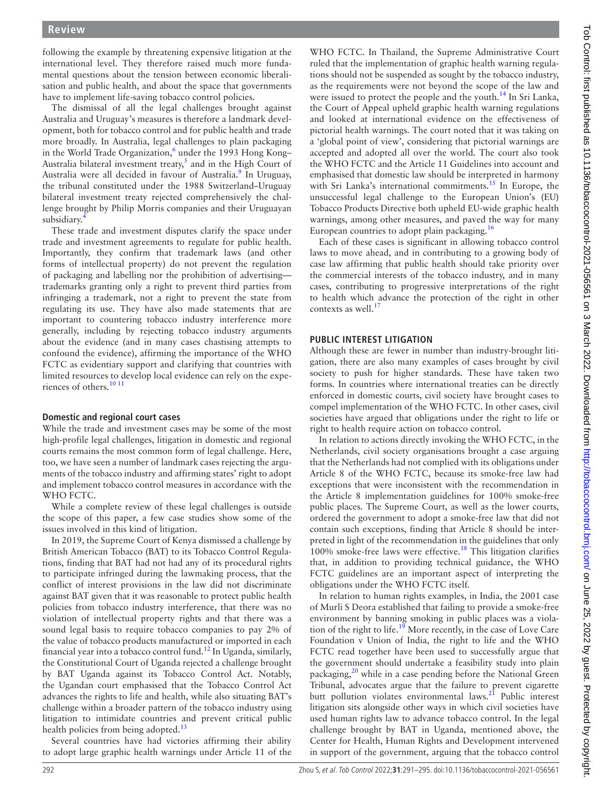following the example by threatening expensive litigation at the international level. They therefore raised much more fundamental questions about the tension between economic liberalisation and public health, and about the space that governments have to implement life-saving tobacco control policies.

The dismissal of all the legal challenges brought against Australia and Uruguay's measures is therefore a landmark development, both for tobacco control and for public health and trade more broadly. In Australia, legal challenges to plain packaging in the World Trade Organization,<sup>[6](#page-3-6)</sup> under the 1993 Hong Kong-Australia bilateral investment treaty,<sup>5</sup> and in the High Court of Australia were all decided in favour of Australia.<sup>[9](#page-3-7)</sup> In Uruguay, the tribunal constituted under the 1988 Switzerland–Uruguay bilateral investment treaty rejected comprehensively the challenge brought by Philip Morris companies and their Uruguayan subsidiary.<sup>[4](#page-3-2)</sup>

These trade and investment disputes clarify the space under trade and investment agreements to regulate for public health. Importantly, they confirm that trademark laws (and other forms of intellectual property) do not prevent the regulation of packaging and labelling nor the prohibition of advertising trademarks granting only a right to prevent third parties from infringing a trademark, not a right to prevent the state from regulating its use. They have also made statements that are important to countering tobacco industry interference more generally, including by rejecting tobacco industry arguments about the evidence (and in many cases chastising attempts to confound the evidence), affirming the importance of the WHO FCTC as evidentiary support and clarifying that countries with limited resources to develop local evidence can rely on the expe-riences of others.<sup>[10 11](#page-3-8)</sup>

#### **Domestic and regional court cases**

While the trade and investment cases may be some of the most high-profile legal challenges, litigation in domestic and regional courts remains the most common form of legal challenge. Here, too, we have seen a number of landmark cases rejecting the arguments of the tobacco industry and affirming states' right to adopt and implement tobacco control measures in accordance with the WHO FCTC.

While a complete review of these legal challenges is outside the scope of this paper, a few case studies show some of the issues involved in this kind of litigation.

In 2019, the Supreme Court of Kenya dismissed a challenge by British American Tobacco (BAT) to its Tobacco Control Regulations, finding that BAT had not had any of its procedural rights to participate infringed during the lawmaking process, that the conflict of interest provisions in the law did not discriminate against BAT given that it was reasonable to protect public health policies from tobacco industry interference, that there was no violation of intellectual property rights and that there was a sound legal basis to require tobacco companies to pay 2% of the value of tobacco products manufactured or imported in each financial year into a tobacco control fund.[12](#page-3-9) In Uganda, similarly, the Constitutional Court of Uganda rejected a challenge brought by BAT Uganda against its Tobacco Control Act. Notably, the Ugandan court emphasised that the Tobacco Control Act advances the rights to life and health, while also situating BAT's challenge within a broader pattern of the tobacco industry using litigation to intimidate countries and prevent critical public health policies from being adopted.<sup>[13](#page-3-10)</sup>

Several countries have had victories affirming their ability to adopt large graphic health warnings under Article 11 of the

WHO FCTC. In Thailand, the Supreme Administrative Court ruled that the implementation of graphic health warning regulations should not be suspended as sought by the tobacco industry, as the requirements were not beyond the scope of the law and were issued to protect the people and the youth.<sup>14</sup> In Sri Lanka, the Court of Appeal upheld graphic health warning regulations and looked at international evidence on the effectiveness of pictorial health warnings. The court noted that it was taking on a 'global point of view', considering that pictorial warnings are accepted and adopted all over the world. The court also took the WHO FCTC and the Article 11 Guidelines into account and emphasised that domestic law should be interpreted in harmony with Sri Lanka's international commitments.<sup>15</sup> In Europe, the unsuccessful legal challenge to the European Union's (EU) Tobacco Products Directive both upheld EU-wide graphic health warnings, among other measures, and paved the way for many European countries to adopt plain packaging.<sup>16</sup>

Each of these cases is significant in allowing tobacco control laws to move ahead, and in contributing to a growing body of case law affirming that public health should take priority over the commercial interests of the tobacco industry, and in many cases, contributing to progressive interpretations of the right to health which advance the protection of the right in other contexts as well.<sup>17</sup>

## **PUBLIC INTEREST LITIGATION**

Although these are fewer in number than industry-brought litigation, there are also many examples of cases brought by civil society to push for higher standards. These have taken two forms. In countries where international treaties can be directly enforced in domestic courts, civil society have brought cases to compel implementation of the WHO FCTC. In other cases, civil societies have argued that obligations under the right to life or right to health require action on tobacco control.

In relation to actions directly invoking the WHO FCTC, in the Netherlands, civil society organisations brought a case arguing that the Netherlands had not complied with its obligations under Article 8 of the WHO FCTC, because its smoke-free law had exceptions that were inconsistent with the recommendation in the Article 8 implementation guidelines for 100% smoke-free public places. The Supreme Court, as well as the lower courts, ordered the government to adopt a smoke-free law that did not contain such exceptions, finding that Article 8 should be interpreted in light of the recommendation in the guidelines that only 100% smoke-free laws were effective.[18](#page-3-15) This litigation clarifies that, in addition to providing technical guidance, the WHO FCTC guidelines are an important aspect of interpreting the obligations under the WHO FCTC itself.

In relation to human rights examples, in India, the 2001 case of Murli S Deora established that failing to provide a smoke-free environment by banning smoking in public places was a viola-tion of the right to life.<sup>[19](#page-3-16)</sup> More recently, in the case of Love Care Foundation v Union of India, the right to life and the WHO FCTC read together have been used to successfully argue that the government should undertake a feasibility study into plain packaging,<sup>[20](#page-3-17)</sup> while in a case pending before the National Green Tribunal, advocates argue that the failure to prevent cigarette butt pollution violates environmental laws. $^{21}$  $^{21}$  $^{21}$  Public interest litigation sits alongside other ways in which civil societies have used human rights law to advance tobacco control. In the legal challenge brought by BAT in Uganda, mentioned above, the Center for Health, Human Rights and Development intervened in support of the government, arguing that the tobacco control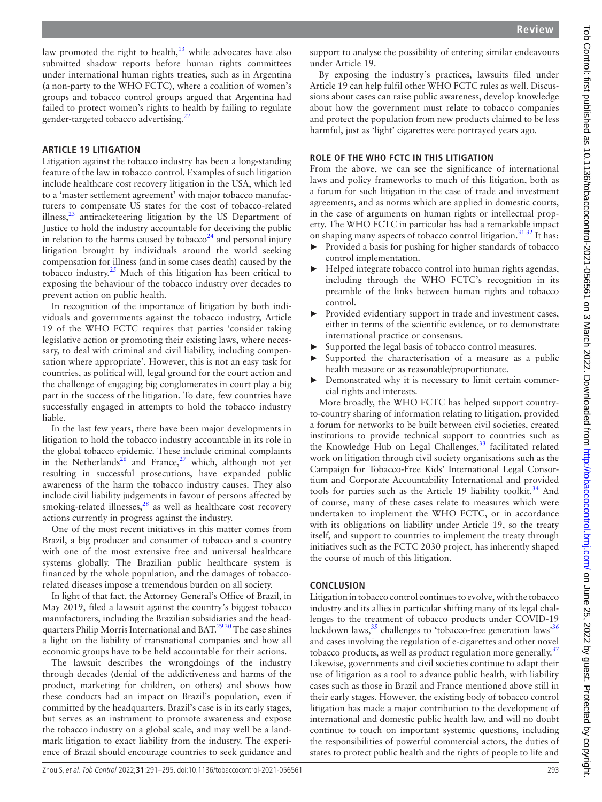law promoted the right to health, $13$  while advocates have also submitted shadow reports before human rights committees under international human rights treaties, such as in Argentina (a non-party to the WHO FCTC), where a coalition of women's groups and tobacco control groups argued that Argentina had failed to protect women's rights to health by failing to regulate gender-targeted tobacco advertising.<sup>[22](#page-3-19)</sup>

#### **ARTICLE 19 LITIGATION**

Litigation against the tobacco industry has been a long-standing feature of the law in tobacco control. Examples of such litigation include healthcare cost recovery litigation in the USA, which led to a 'master settlement agreement' with major tobacco manufacturers to compensate US states for the cost of tobacco-related illness, $23$  antiracketeering litigation by the US Department of Justice to hold the industry accountable for deceiving the public in relation to the harms caused by tobacco<sup>24</sup> and personal injury litigation brought by individuals around the world seeking compensation for illness (and in some cases death) caused by the tobacco industry.[25](#page-3-22) Much of this litigation has been critical to exposing the behaviour of the tobacco industry over decades to prevent action on public health.

In recognition of the importance of litigation by both individuals and governments against the tobacco industry, Article 19 of the WHO FCTC requires that parties 'consider taking legislative action or promoting their existing laws, where necessary, to deal with criminal and civil liability, including compensation where appropriate'. However, this is not an easy task for countries, as political will, legal ground for the court action and the challenge of engaging big conglomerates in court play a big part in the success of the litigation. To date, few countries have successfully engaged in attempts to hold the tobacco industry liable.

In the last few years, there have been major developments in litigation to hold the tobacco industry accountable in its role in the global tobacco epidemic. These include criminal complaints in the Netherlands<sup>[26](#page-3-23)</sup> and France,<sup>[27](#page-3-24)</sup> which, although not yet resulting in successful prosecutions, have expanded public awareness of the harm the tobacco industry causes. They also include civil liability judgements in favour of persons affected by smoking-related illnesses,<sup>28</sup> as well as healthcare cost recovery actions currently in progress against the industry.

One of the most recent initiatives in this matter comes from Brazil, a big producer and consumer of tobacco and a country with one of the most extensive free and universal healthcare systems globally. The Brazilian public healthcare system is financed by the whole population, and the damages of tobaccorelated diseases impose a tremendous burden on all society.

In light of that fact, the Attorney General's Office of Brazil, in May 2019, filed a lawsuit against the country's biggest tobacco manufacturers, including the Brazilian subsidiaries and the headquarters Philip Morris International and BAT.<sup>2930</sup> The case shines a light on the liability of transnational companies and how all economic groups have to be held accountable for their actions.

The lawsuit describes the wrongdoings of the industry through decades (denial of the addictiveness and harms of the product, marketing for children, on others) and shows how these conducts had an impact on Brazil's population, even if committed by the headquarters. Brazil's case is in its early stages, but serves as an instrument to promote awareness and expose the tobacco industry on a global scale, and may well be a landmark litigation to exact liability from the industry. The experience of Brazil should encourage countries to seek guidance and

support to analyse the possibility of entering similar endeavours under Article 19.

By exposing the industry's practices, lawsuits filed under Article 19 can help fulfil other WHO FCTC rules as well. Discussions about cases can raise public awareness, develop knowledge about how the government must relate to tobacco companies and protect the population from new products claimed to be less harmful, just as 'light' cigarettes were portrayed years ago.

# **ROLE OF THE WHO FCTC IN THIS LITIGATION**

From the above, we can see the significance of international laws and policy frameworks to much of this litigation, both as a forum for such litigation in the case of trade and investment agreements, and as norms which are applied in domestic courts, in the case of arguments on human rights or intellectual property. The WHO FCTC in particular has had a remarkable impact on shaping many aspects of tobacco control litigation.<sup>[31 32](#page-3-27)</sup> It has:

- Provided a basis for pushing for higher standards of tobacco control implementation.
- $\blacktriangleright$  Helped integrate tobacco control into human rights agendas, including through the WHO FCTC's recognition in its preamble of the links between human rights and tobacco control.
- Provided evidentiary support in trade and investment cases, either in terms of the scientific evidence, or to demonstrate international practice or consensus.
- Supported the legal basis of tobacco control measures.
- Supported the characterisation of a measure as a public health measure or as reasonable/proportionate.
- Demonstrated why it is necessary to limit certain commercial rights and interests.

More broadly, the WHO FCTC has helped support countryto-country sharing of information relating to litigation, provided a forum for networks to be built between civil societies, created institutions to provide technical support to countries such as the Knowledge Hub on Legal Challenges, $33$  facilitated related work on litigation through civil society organisations such as the Campaign for Tobacco-Free Kids' International Legal Consortium and Corporate Accountability International and provided tools for parties such as the Article 19 liability toolkit.<sup>[34](#page-4-1)</sup> And of course, many of these cases relate to measures which were undertaken to implement the WHO FCTC, or in accordance with its obligations on liability under Article 19, so the treaty itself, and support to countries to implement the treaty through initiatives such as the FCTC 2030 project, has inherently shaped the course of much of this litigation.

#### **CONCLUSION**

Litigation in tobacco control continues to evolve, with the tobacco industry and its allies in particular shifting many of its legal challenges to the treatment of tobacco products under COVID-19 lockdown laws,  $35$  challenges to 'tobacco-free generation laws'  $36$ and cases involving the regulation of e-cigarettes and other novel tobacco products, as well as product regulation more generally.<sup>[37](#page-4-4)</sup> Likewise, governments and civil societies continue to adapt their use of litigation as a tool to advance public health, with liability cases such as those in Brazil and France mentioned above still in their early stages. However, the existing body of tobacco control litigation has made a major contribution to the development of international and domestic public health law, and will no doubt continue to touch on important systemic questions, including the responsibilities of powerful commercial actors, the duties of states to protect public health and the rights of people to life and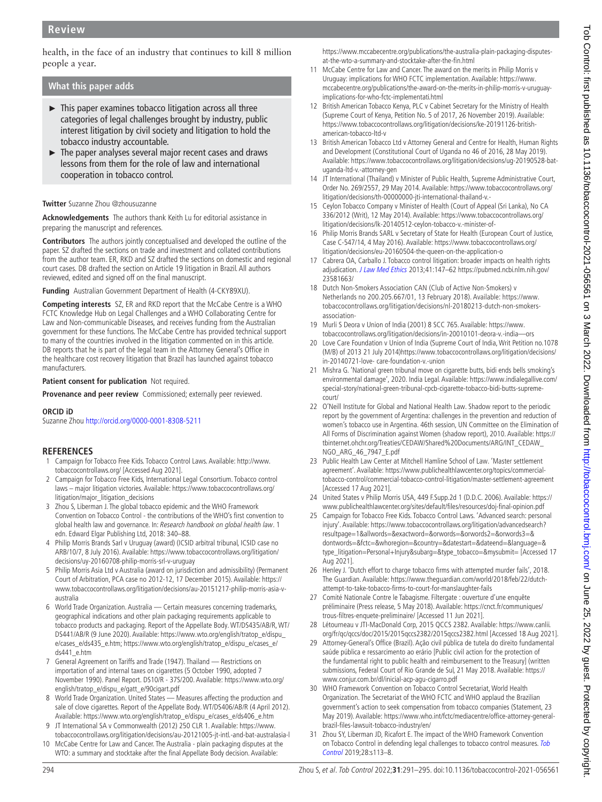health, in the face of an industry that continues to kill 8 million people a year.

# **What this paper adds**

- ► This paper examines tobacco litigation across all three categories of legal challenges brought by industry, public interest litigation by civil society and litigation to hold the tobacco industry accountable.
- ► The paper analyses several major recent cases and draws lessons from them for the role of law and international cooperation in tobacco control.

#### **Twitter** Suzanne Zhou [@zhousuzanne](https://twitter.com/zhousuzanne)

**Acknowledgements** The authors thank Keith Lu for editorial assistance in preparing the manuscript and references.

**Contributors** The authors jointly conceptualised and developed the outline of the paper. SZ drafted the sections on trade and investment and collated contributions from the author team. ER, RKD and SZ drafted the sections on domestic and regional court cases. DB drafted the section on Article 19 litigation in Brazil. All authors reviewed, edited and signed off on the final manuscript.

**Funding** Australian Government Department of Health (4-CKY89XU).

**Competing interests** SZ, ER and RKD report that the McCabe Centre is a WHO FCTC Knowledge Hub on Legal Challenges and a WHO Collaborating Centre for Law and Non-communicable Diseases, and receives funding from the Australian government for these functions. The McCabe Centre has provided technical support to many of the countries involved in the litigation commented on in this article. DB reports that he is part of the legal team in the Attorney General's Office in the healthcare cost recovery litigation that Brazil has launched against tobacco manufacturers.

**Patient consent for publication** Not required.

**Provenance and peer review** Commissioned; externally peer reviewed.

#### **ORCID iD**

Suzanne Zhou <http://orcid.org/0000-0001-8308-5211>

#### **REFERENCES**

- <span id="page-3-0"></span>1 Campaign for Tobacco Free Kids. Tobacco Control Laws. Available: [http://www.](http://www.tobaccocontrollaws.org/) [tobaccocontrollaws.org/](http://www.tobaccocontrollaws.org/) [Accessed Aug 2021].
- 2 Campaign for Tobacco Free Kids, International Legal Consortium. Tobacco control laws – major litigation victories. Available: [https://www.tobaccocontrollaws.org/](https://www.tobaccocontrollaws.org/litigation/major_litigation_decisions) [litigation/major\\_litigation\\_decisions](https://www.tobaccocontrollaws.org/litigation/major_litigation_decisions)
- <span id="page-3-1"></span>3 Zhou S, Liberman J. The global tobacco epidemic and the WHO Framework Convention on Tobacco Control - the contributions of the WHO's first convention to global health law and governance. In: Research handbook on global health law. 1 edn. Edward Elgar Publishing Ltd, 2018: 340–88.
- <span id="page-3-2"></span>4 Philip Morris Brands Sarl v Uruguay (award) (ICSID arbitral tribunal, ICSID case no ARB/10/7, 8 July 2016). Available: [https://www.tobaccocontrollaws.org/litigation/](https://www.tobaccocontrollaws.org/litigation/decisions/uy-20160708-philip-morris-srl-v-uruguay) [decisions/uy-20160708-philip-morris-srl-v-uruguay](https://www.tobaccocontrollaws.org/litigation/decisions/uy-20160708-philip-morris-srl-v-uruguay)
- <span id="page-3-3"></span>5 Philip Morris Asia Ltd v Australia (award on jurisdiction and admissibility) (Permanent Court of Arbitration, PCA case no 2012-12, 17 December 2015). Available: [https://](https://www.tobaccocontrollaws.org/litigation/decisions/au-20151217-philip-morris-asia-v-australia) [www.tobaccocontrollaws.org/litigation/decisions/au-20151217-philip-morris-asia-v](https://www.tobaccocontrollaws.org/litigation/decisions/au-20151217-philip-morris-asia-v-australia)[australia](https://www.tobaccocontrollaws.org/litigation/decisions/au-20151217-philip-morris-asia-v-australia)
- <span id="page-3-6"></span>6 World Trade Organization. Australia — Certain measures concerning trademarks, geographical indications and other plain packaging requirements applicable to tobacco products and packaging. Report of the Appellate Body. WT/DS435/AB/R, WT/ DS441/AB/R (9 June 2020). Available: [https://www.wto.org/english/tratop\\_e/dispu\\_](https://www.wto.org/english/tratop_e/dispu_e/cases_e/ds435_e.htm;%20https://www.wto.org/english/tratop_e/dispu_e/cases_e/ds441_e.htm) [e/cases\\_e/ds435\\_e.htm; https://www.wto.org/english/tratop\\_e/dispu\\_e/cases\\_e/](https://www.wto.org/english/tratop_e/dispu_e/cases_e/ds435_e.htm;%20https://www.wto.org/english/tratop_e/dispu_e/cases_e/ds441_e.htm) [ds441\\_e.htm](https://www.wto.org/english/tratop_e/dispu_e/cases_e/ds435_e.htm;%20https://www.wto.org/english/tratop_e/dispu_e/cases_e/ds441_e.htm)
- <span id="page-3-4"></span>7 General Agreement on Tariffs and Trade (1947). Thailand — Restrictions on importation of and internal taxes on cigarettes (5 October 1990, adopted 7 November 1990). Panel Report. DS10/R - 37S/200. Available: [https://www.wto.org/](https://www.wto.org/english/tratop_e/dispu_e/gatt_e/90cigart.pdf) [english/tratop\\_e/dispu\\_e/gatt\\_e/90cigart.pdf](https://www.wto.org/english/tratop_e/dispu_e/gatt_e/90cigart.pdf)
- <span id="page-3-5"></span>8 World Trade Organization. United States — Measures affecting the production and sale of clove cigarettes. Report of the Appellate Body. WT/DS406/AB/R (4 April 2012). Available: [https://www.wto.org/english/tratop\\_e/dispu\\_e/cases\\_e/ds406\\_e.htm](https://www.wto.org/english/tratop_e/dispu_e/cases_e/ds406_e.htm)
- <span id="page-3-7"></span>9 JT International SA v Commonwealth (2012) 250 CLR 1. Available: [https://www.](https://www.tobaccocontrollaws.org/litigation/decisions/au-20121005-jt-intl.-and-bat-australasia-l) [tobaccocontrollaws.org/litigation/decisions/au-20121005-jt-intl.-and-bat-australasia-l](https://www.tobaccocontrollaws.org/litigation/decisions/au-20121005-jt-intl.-and-bat-australasia-l)
- <span id="page-3-8"></span>10 McCabe Centre for Law and Cancer. The Australia - plain packaging disputes at the WTO: a summary and stocktake after the final Appellate Body decision. Available:

[https://www.mccabecentre.org/publications/the-australia-plain-packaging-disputes](https://www.mccabecentre.org/publications/the-australia-plain-packaging-disputes-at-the-wto-a-summary-and-stocktake-after-the-fin.html)[at-the-wto-a-summary-and-stocktake-after-the-fin.html](https://www.mccabecentre.org/publications/the-australia-plain-packaging-disputes-at-the-wto-a-summary-and-stocktake-after-the-fin.html)

- 11 McCabe Centre for Law and Cancer. The award on the merits in Philip Morris v Uruguay: implications for WHO FCTC implementation. Available: [https://www.](https://www.mccabecentre.org/publications/the-award-on-the-merits-in-philip-morris-v-uruguay-implications-for-who-fctc-implementati.html) [mccabecentre.org/publications/the-award-on-the-merits-in-philip-morris-v-uruguay](https://www.mccabecentre.org/publications/the-award-on-the-merits-in-philip-morris-v-uruguay-implications-for-who-fctc-implementati.html)[implications-for-who-fctc-implementati.html](https://www.mccabecentre.org/publications/the-award-on-the-merits-in-philip-morris-v-uruguay-implications-for-who-fctc-implementati.html)
- <span id="page-3-9"></span>12 British American Tobacco Kenya, PLC v Cabinet Secretary for the Ministry of Health (Supreme Court of Kenya, Petition No. 5 of 2017, 26 November 2019). Available: [https://www.tobaccocontrollaws.org/litigation/decisions/ke-20191126-british](https://www.tobaccocontrollaws.org/litigation/decisions/ke-20191126-british-american-tobacco-ltd-v)[american-tobacco-ltd-v](https://www.tobaccocontrollaws.org/litigation/decisions/ke-20191126-british-american-tobacco-ltd-v)
- <span id="page-3-10"></span>13 British American Tobacco Ltd v Attorney General and Centre for Health, Human Rights and Development (Constitutional Court of Uganda no 46 of 2016, 28 May 2019). Available: [https://www.tobaccocontrollaws.org/litigation/decisions/ug-20190528-bat](https://www.tobaccocontrollaws.org/litigation/decisions/ug-20190528-bat-uganda-ltd-v.-attorney-gen)[uganda-ltd-v.-attorney-gen](https://www.tobaccocontrollaws.org/litigation/decisions/ug-20190528-bat-uganda-ltd-v.-attorney-gen)
- <span id="page-3-11"></span>14 JT International (Thailand) v Minister of Public Health, Supreme Administrative Court, Order No. 269/2557, 29 May 2014. Available: [https://www.tobaccocontrollaws.org/](https://www.tobaccocontrollaws.org/litigation/decisions/th-00000000-jti-international-thailand-v.-) [litigation/decisions/th-00000000-jti-international-thailand-v.-](https://www.tobaccocontrollaws.org/litigation/decisions/th-00000000-jti-international-thailand-v.-)
- <span id="page-3-12"></span>15 Ceylon Tobacco Company v Minister of Health (Court of Appeal (Sri Lanka), No CA 336/2012 (Writ), 12 May 2014). Available: [https://www.tobaccocontrollaws.org/](https://www.tobaccocontrollaws.org/litigation/decisions/lk-20140512-ceylon-tobacco-v.-minister-of-) [litigation/decisions/lk-20140512-ceylon-tobacco-v.-minister-of-](https://www.tobaccocontrollaws.org/litigation/decisions/lk-20140512-ceylon-tobacco-v.-minister-of-)
- <span id="page-3-13"></span>16 Philip Morris Brands SARL v Secretary of State for Health (European Court of Justice, Case C-547/14, 4 May 2016). Available: [https://www.tobaccocontrollaws.org/](https://www.tobaccocontrollaws.org/litigation/decisions/eu-20160504-the-queen-on-the-application-o) [litigation/decisions/eu-20160504-the-queen-on-the-application-o](https://www.tobaccocontrollaws.org/litigation/decisions/eu-20160504-the-queen-on-the-application-o)
- <span id="page-3-14"></span>17 Cabrera OA, Carballo J. Tobacco control litigation: broader impacts on health rights adjudication. [J Law Med Ethics](http://dx.doi.org/10.1111/jlme.12011) 2013;41:147-62 [https://pubmed.ncbi.nlm.nih.gov/](https://pubmed.ncbi.nlm.nih.gov/23581663/) [23581663/](https://pubmed.ncbi.nlm.nih.gov/23581663/)
- <span id="page-3-15"></span>18 Dutch Non-Smokers Association CAN (Club of Active Non-Smokers) v Netherlands no 200.205.667/01, 13 February 2018). Available: [https://www.](https://www.tobaccocontrollaws.org/litigation/decisions/nl-20180213-dutch-non-smokers-association-) [tobaccocontrollaws.org/litigation/decisions/nl-20180213-dutch-non-smokers](https://www.tobaccocontrollaws.org/litigation/decisions/nl-20180213-dutch-non-smokers-association-)[association-](https://www.tobaccocontrollaws.org/litigation/decisions/nl-20180213-dutch-non-smokers-association-)
- <span id="page-3-16"></span>19 Murli S Deora v Union of India (2001) 8 SCC 765. Available: [https://www.](https://www.tobaccocontrollaws.org/litigation/decisions/in-20010101-deora-v.-india—ors) [tobaccocontrollaws.org/litigation/decisions/in-20010101-deora-v.-india—ors](https://www.tobaccocontrollaws.org/litigation/decisions/in-20010101-deora-v.-india—ors)
- <span id="page-3-17"></span>20 Love Care Foundation v Union of India (Supreme Court of India, Writ Petition no.1078 (M/B) of 2013 21 July 2014)[https://www.tobaccocontrollaws.org/litigation/decisions/](https://www.tobaccocontrollaws.org/litigation/decisions/in-20140721-love-%20care-foundation-v.-union) [in-20140721-love- care-foundation-v.-union](https://www.tobaccocontrollaws.org/litigation/decisions/in-20140721-love-%20care-foundation-v.-union)
- <span id="page-3-18"></span>21 Mishra G. 'National green tribunal move on cigarette butts, bidi ends bells smoking's environmental damage', 2020. India Legal. Available: [https://www.indialegallive.com/](https://www.indialegallive.com/special-story/national-green-tribunal-cpcb-cigarette-tobacco-bidi-butts-supreme-court/) [special-story/national-green-tribunal-cpcb-cigarette-tobacco-bidi-butts-supreme](https://www.indialegallive.com/special-story/national-green-tribunal-cpcb-cigarette-tobacco-bidi-butts-supreme-court/)[court/](https://www.indialegallive.com/special-story/national-green-tribunal-cpcb-cigarette-tobacco-bidi-butts-supreme-court/)
- <span id="page-3-19"></span>22 O'Neill Institute for Global and National Health Law. Shadow report to the periodic report by the government of Argentina: challenges in the prevention and reduction of women's tobacco use in Argentina. 46th session, UN Committee on the Elimination of All Forms of Discrimination against Women (shadow report), 2010. Available: [https://](https://tbinternet.ohchr.org/Treaties/CEDAW/Shared%20Documents/ARG/INT_CEDAW_NGO_ARG_46_7947_E.pdf) [tbinternet.ohchr.org/Treaties/CEDAW/Shared%20Documents/ARG/INT\\_CEDAW\\_](https://tbinternet.ohchr.org/Treaties/CEDAW/Shared%20Documents/ARG/INT_CEDAW_NGO_ARG_46_7947_E.pdf) [NGO\\_ARG\\_46\\_7947\\_E.pdf](https://tbinternet.ohchr.org/Treaties/CEDAW/Shared%20Documents/ARG/INT_CEDAW_NGO_ARG_46_7947_E.pdf)
- <span id="page-3-20"></span>23 Public Health Law Center at Mitchell Hamline School of Law. 'Master settlement agreement'. Available: [https://www.publichealthlawcenter.org/topics/commercial](https://www.publichealthlawcenter.org/topics/commercial-tobacco-control/commercial-tobacco-control-litigation/master-settlement-agreement)[tobacco-control/commercial-tobacco-control-litigation/master-settlement-agreement](https://www.publichealthlawcenter.org/topics/commercial-tobacco-control/commercial-tobacco-control-litigation/master-settlement-agreement) [Accessed 17 Aug 2021].
- <span id="page-3-21"></span>24 United States v Philip Morris USA, 449 F.Supp.2d 1 (D.D.C. 2006). Available: [https://](https://www.publichealthlawcenter.org/sites/default/files/resources/doj-final-opinion.pdf) [www.publichealthlawcenter.org/sites/default/files/resources/doj-final-opinion.pdf](https://www.publichealthlawcenter.org/sites/default/files/resources/doj-final-opinion.pdf)
- <span id="page-3-22"></span>25 Campaign for Tobacco Free Kids. Tobacco Control Laws. 'Advanced search: personal injury'. Available: [https://www.tobaccocontrollaws.org/litigation/advancedsearch?](https://www.tobaccocontrollaws.org/litigation/advancedsearch?resultpage=1&allwords=&exactword=&orwords=&orwords2=&orwords3=&dontwords=&fctc=&whoregion=&country=&datestart=&dateend=&language=&type_litigation=Personal+Injury&subarg=&type_tobacco=&mysubmit=) [resultpage=1&allwords=&exactword=&orwords=&orwords2=&orwords3=&](https://www.tobaccocontrollaws.org/litigation/advancedsearch?resultpage=1&allwords=&exactword=&orwords=&orwords2=&orwords3=&dontwords=&fctc=&whoregion=&country=&datestart=&dateend=&language=&type_litigation=Personal+Injury&subarg=&type_tobacco=&mysubmit=) [dontwords=&fctc=&whoregion=&country=&datestart=&dateend=&language=&](https://www.tobaccocontrollaws.org/litigation/advancedsearch?resultpage=1&allwords=&exactword=&orwords=&orwords2=&orwords3=&dontwords=&fctc=&whoregion=&country=&datestart=&dateend=&language=&type_litigation=Personal+Injury&subarg=&type_tobacco=&mysubmit=) [type\\_litigation=Personal+Injury&subarg=&type\\_tobacco=&mysubmit=](https://www.tobaccocontrollaws.org/litigation/advancedsearch?resultpage=1&allwords=&exactword=&orwords=&orwords2=&orwords3=&dontwords=&fctc=&whoregion=&country=&datestart=&dateend=&language=&type_litigation=Personal+Injury&subarg=&type_tobacco=&mysubmit=) [Accessed 17 Aug 2021].
- <span id="page-3-23"></span>26 Henley J. 'Dutch effort to charge tobacco firms with attempted murder fails', 2018. The Guardian. Available: [https://www.theguardian.com/world/2018/feb/22/dutch](https://www.theguardian.com/world/2018/feb/22/dutch-attempt-to-take-tobacco-firms-to-court-for-manslaughter-fails)[attempt-to-take-tobacco-firms-to-court-for-manslaughter-fails](https://www.theguardian.com/world/2018/feb/22/dutch-attempt-to-take-tobacco-firms-to-court-for-manslaughter-fails)
- <span id="page-3-24"></span>27 Comité Nationale Contre le Tabagisme. Filtergate : ouverture d'une enquête préliminaire (Press release, 5 May 2018). Available: [https://cnct.fr/communiques/](https://cnct.fr/communiques/trous-filtres-enquete-preliminaire/) [trous-filtres-enquete-preliminaire/](https://cnct.fr/communiques/trous-filtres-enquete-preliminaire/) [Accessed 11 Jun 2021].
- <span id="page-3-25"></span>Létourneau v JTI-MacDonald Corp, 2015 QCCS 2382. Available: [https://www.canlii.](https://www.canlii.org/fr/qc/qccs/doc/2015/2015qccs2382/2015qccs2382.html) [org/fr/qc/qccs/doc/2015/2015qccs2382/2015qccs2382.html](https://www.canlii.org/fr/qc/qccs/doc/2015/2015qccs2382/2015qccs2382.html) [Accessed 18 Aug 2021].
- <span id="page-3-26"></span>29 Attorney-General's Office (Brazil). Ação civil pública de tutela do direito fundamental saúde pública e ressarcimento ao erário [Public civil action for the protection of the fundamental right to public health and reimbursement to the Treasury] (written submissions, Federal Court of Rio Grande de Sul, 21 May 2018. Available: [https://](https://www.conjur.com.br/dl/inicial-acp-agu-cigarro.pdf) [www.conjur.com.br/dl/inicial-acp-agu-cigarro.pdf](https://www.conjur.com.br/dl/inicial-acp-agu-cigarro.pdf)
- 30 WHO Framework Convention on Tobacco Control Secretariat, World Health Organization. The Secretariat of the WHO FCTC and WHO applaud the Brazilian government's action to seek compensation from tobacco companies (Statement, 23 May 2019). Available: [https://www.who.int/fctc/mediacentre/office-attorney-general](https://www.who.int/fctc/mediacentre/office-attorney-general-brazil-files-lawsuit-tobacco-industry/en/)[brazil-files-lawsuit-tobacco-industry/en/](https://www.who.int/fctc/mediacentre/office-attorney-general-brazil-files-lawsuit-tobacco-industry/en/)
- <span id="page-3-27"></span>31 Zhou SY, Liberman JD, Ricafort E. The impact of the WHO Framework Convention on Tobacco Control in defending legal challenges to tobacco control measures. Tob [Control](http://dx.doi.org/10.1136/tobaccocontrol-2018-054329) 2019;28:s113–8.